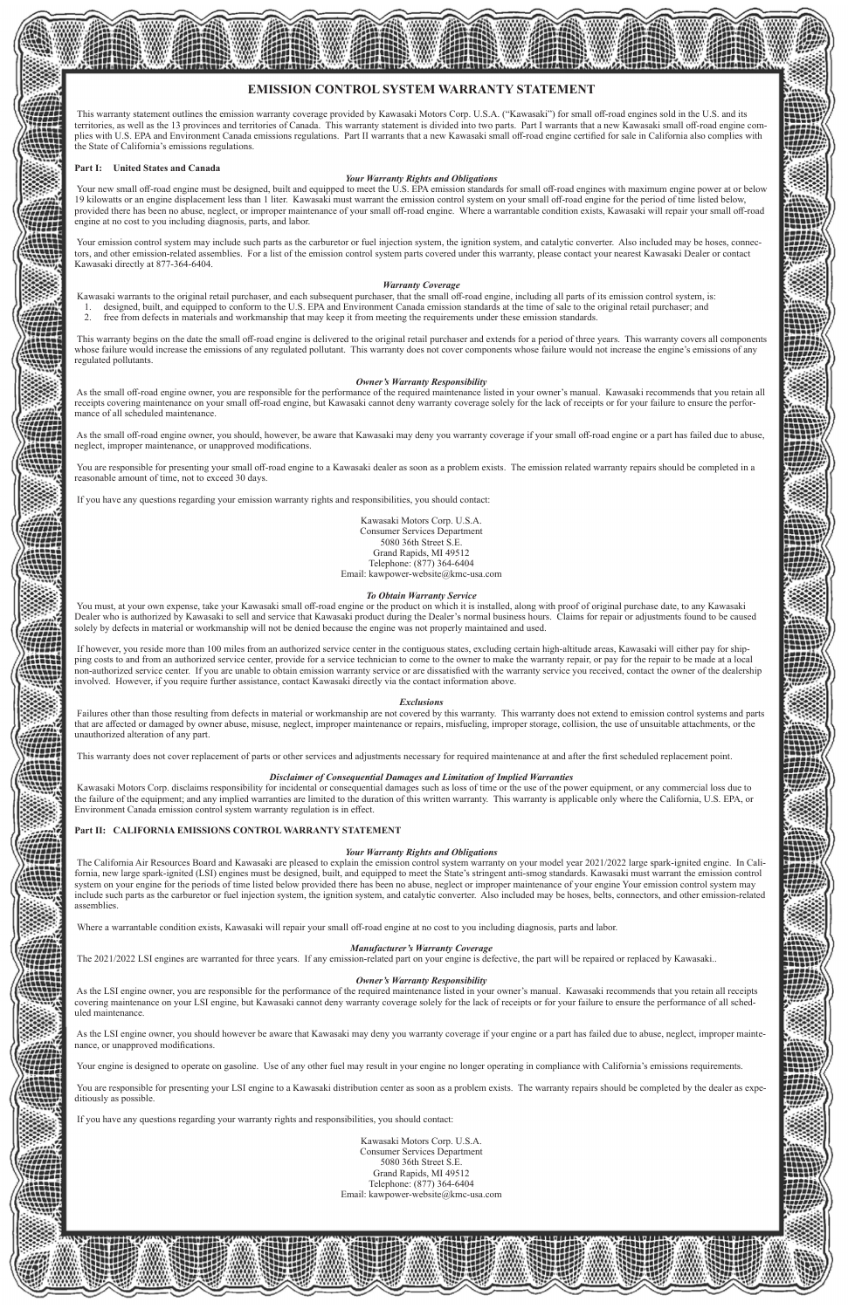# **EMISSION CONTROL SYSTEM WARRANTY STATEMENT**

 This warranty statement outlines the emission warranty coverage provided by Kawasaki Motors Corp. U.S.A. ("Kawasaki") for small off-road engines sold in the U.S. and its territories, as well as the 13 provinces and territories of Canada. This warranty statement is divided into two parts. Part I warrants that a new Kawasaki small off-road engine complies with U.S. EPA and Environment Canada emissions regulations. Part II warrants that a new Kawasaki small off-road engine certified for sale in California also complies with the State of California's emissions regulations.

#### **Part I: United States and Canada**

Your new small off-road engine must be designed, built and equipped to meet the U.S. EPA emission standards for small off-road engines with maximum engine power at or below 19 kilowatts or an engine displacement less than 1 liter. Kawasaki must warrant the emission control system on your small off-road engine for the period of time listed below, provided there has been no abuse, neglect, or improper maintenance of your small off-road engine. Where a warrantable condition exists, Kawasaki will repair your small off-road engine at no cost to you including diagnosis, parts, and labor.

#### *Your Warranty Rights and Obligations*

Your emission control system may include such parts as the carburetor or fuel injection system, the ignition system, and catalytic converter. Also included may be hoses, connectors, and other emission-related assemblies. For a list of the emission control system parts covered under this warranty, please contact your nearest Kawasaki Dealer or contact Kawasaki directly at 877-364-6404.

- designed, built, and equipped to conform to the U.S. EPA and Environment Canada emission standards at the time of sale to the original retail purchaser; and
- 2. free from defects in materials and workmanship that may keep it from meeting the requirements under these emission standards.

As the small off-road engine owner, you are responsible for the performance of the required maintenance listed in your owner's manual. Kawasaki recommends that you retain all receipts covering maintenance on your small off-road engine, but Kawasaki cannot deny warranty coverage solely for the lack of receipts or for your failure to ensure the performance of all scheduled maintenance.

#### *Warranty Coverage*

Kawasaki warrants to the original retail purchaser, and each subsequent purchaser, that the small off-road engine, including all parts of its emission control system, is:

You must, at your own expense, take your Kawasaki small off-road engine or the product on which it is installed, along with proof of original purchase date, to any Kawasaki Dealer who is authorized by Kawasaki to sell and service that Kawasaki product during the Dealer's normal business hours. Claims for repair or adjustments found to be caused solely by defects in material or workmanship will not be denied because the engine was not properly maintained and used.

 This warranty begins on the date the small off-road engine is delivered to the original retail purchaser and extends for a period of three years. This warranty covers all components whose failure would increase the emissions of any regulated pollutant. This warranty does not cover components whose failure would not increase the engine's emissions of any regulated pollutants.

#### *Owner's Warranty Responsibility*

 As the small off-road engine owner, you should, however, be aware that Kawasaki may deny you warranty coverage if your small off-road engine or a part has failed due to abuse, neglect, improper maintenance, or unapproved modifications.

 You are responsible for presenting your small off-road engine to a Kawasaki dealer as soon as a problem exists. The emission related warranty repairs should be completed in a reasonable amount of time, not to exceed 30 days.

If you have any questions regarding your emission warranty rights and responsibilities, you should contact:

Kawasaki Motors Corp. U.S.A. Consumer Services Department 5080 36th Street S.E. Grand Rapids, MI 49512 Telephone: (877) 364-6404 Email: kawpower-website@kmc-usa.com

#### *To Obtain Warranty Service*

 If however, you reside more than 100 miles from an authorized service center in the contiguous states, excluding certain high-altitude areas, Kawasaki will either pay for shipping costs to and from an authorized service center, provide for a service technician to come to the owner to make the warranty repair, or pay for the repair to be made at a local non-authorized service center. If you are unable to obtain emission warranty service or are dissatisfied with the warranty service you received, contact the owner of the dealership involved. However, if you require further assistance, contact Kawasaki directly via the contact information above.

#### *Exclusions*

 Failures other than those resulting from defects in material or workmanship are not covered by this warranty. This warranty does not extend to emission control systems and parts that are affected or damaged by owner abuse, misuse, neglect, improper maintenance or repairs, misfueling, improper storage, collision, the use of unsuitable attachments, or the unauthorized alteration of any part.

This warranty does not cover replacement of parts or other services and adjustments necessary for required maintenance at and after the first scheduled replacement point.

#### *Disclaimer of Consequential Damages and Limitation of Implied Warranties*

 Kawasaki Motors Corp. disclaims responsibility for incidental or consequential damages such as loss of time or the use of the power equipment, or any commercial loss due to the failure of the equipment; and any implied warranties are limited to the duration of this written warranty. This warranty is applicable only where the California, U.S. EPA, or Environment Canada emission control system warranty regulation is in effect.

## **Part II: CALIFORNIA EMISSIONS CONTROL WARRANTY STATEMENT**

#### *Your Warranty Rights and Obligations*

 The California Air Resources Board and Kawasaki are pleased to explain the emission control system warranty on your model year 2021/2022 large spark-ignited engine. In California, new large spark-ignited (LSI) engines must be designed, built, and equipped to meet the State's stringent anti-smog standards. Kawasaki must warrant the emission control system on your engine for the periods of time listed below provided there has been no abuse, neglect or improper maintenance of your engine Your emission control system may include such parts as the carburetor or fuel injection system, the ignition system, and catalytic converter. Also included may be hoses, belts, connectors, and other emission-related assemblies.

Where a warrantable condition exists, Kawasaki will repair your small off-road engine at no cost to you including diagnosis, parts and labor.

#### *Manufacturer's Warranty Coverage*

sion-related part on your engine is defective

# *Owner's Warranty Responsibility*

 As the LSI engine owner, you are responsible for the performance of the required maintenance listed in your owner's manual. Kawasaki recommends that you retain all receipts covering maintenance on your LSI engine, but Kawasaki cannot deny warranty coverage solely for the lack of receipts or for your failure to ensure the performance of all scheduled maintenance.

 As the LSI engine owner, you should however be aware that Kawasaki may deny you warranty coverage if your engine or a part has failed due to abuse, neglect, improper maintenance, or unapproved modifications.

Your engine is designed to operate on gasoline. Use of any other fuel may result in your engine no longer operating in compliance with California's emissions requirements.

 You are responsible for presenting your LSI engine to a Kawasaki distribution center as soon as a problem exists. The warranty repairs should be completed by the dealer as expeditiously as possible.

If you have any questions regarding your warranty rights and responsibilities, you should contact:

Kawasaki Motors Corp. U.S.A. Consumer Services Department 5080 36th Street S.E. Grand Rapids, MI 49512 Telephone: (877) 364-6404 Email: kawpower-website@kmc-usa.com